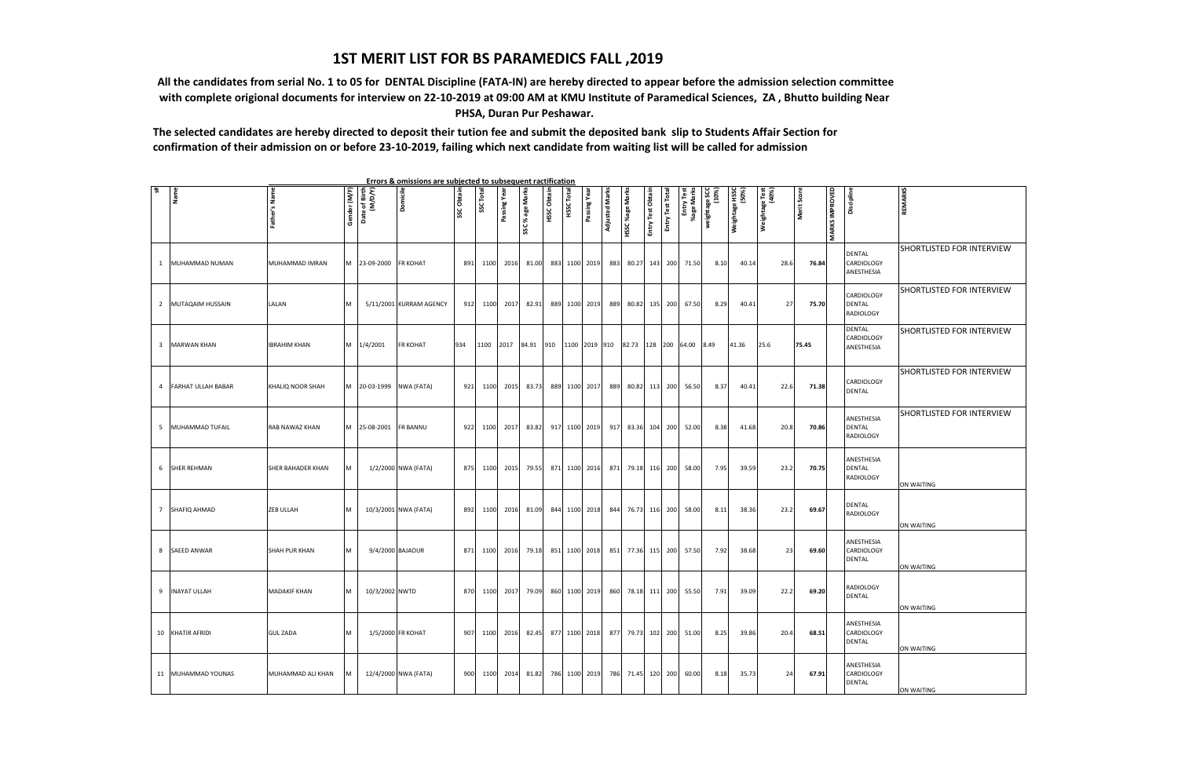## **1ST MERIT LIST FOR BS PARAMEDICS FALL ,2019**

 **All the candidates from serial No. 1 to 05 for DENTAL Discipline (FATA-IN) are hereby directed to appear before the admission selection committee with complete origional documents for interview on 22-10-2019 at 09:00 AM at KMU Institute of Paramedical Sciences, ZA , Bhutto building Near PHSA, Duran Pur Peshawar.**

**The selected candidates are hereby directed to deposit their tution fee and submit the deposited bank slip to Students Affair Section for confirmation of their admission on or before 23-10-2019, failing which next candidate from waiting list will be called for admission**

| Errors & omissions are subjected to subsequent ractification<br>$\overline{5}$ |                           |                      |              |                          |                         |            |         |             |                 |             |          |               |                |                        |                   |                 |                          |                       |                         |                         |             |                       |                                           |                                  |
|--------------------------------------------------------------------------------|---------------------------|----------------------|--------------|--------------------------|-------------------------|------------|---------|-------------|-----------------|-------------|----------|---------------|----------------|------------------------|-------------------|-----------------|--------------------------|-----------------------|-------------------------|-------------------------|-------------|-----------------------|-------------------------------------------|----------------------------------|
|                                                                                | Name                      | Father's Name        | Gender (M/F) | Date of Birth<br>(M/D/Y) | Domicile                | SSC Obtain | SSC Tot | Passing Yea | SSC % age Marks | HSSC Obtain | HSSC Tot | Passing Year  | Adjusted Marks | <b>HSSC %age Marks</b> | Entry Test Obtair | Entry Test Tota | Entry Test<br>%age Marks | (%OT)<br>DS aBeµqãiam | Weightage HSSC<br>(50%) | Weightage Test<br>(40%) | Merit Score | <b>MARKS IMPROVED</b> | Discipline                                | <b>REMARKS</b>                   |
| $\mathbf{1}$                                                                   | MUHAMMAD NUMAN            | MUHAMMAD IMRAN       | M            | 23-09-2000               | <b>FR KOHAT</b>         | 891        | 1100    | 2016        | 81.00           |             |          | 883 1100 2019 | 883            | 80.27 143              |                   | 200             | 71.50                    | 8.10                  | 40.14                   | 28.6                    | 76.84       |                       | DENTAL<br>CARDIOLOGY<br>ANESTHESIA        | SHORTLISTED FOR INTERVIEW        |
| $\overline{2}$                                                                 | MUTAQAIM HUSSAIN          | LALAN                | M            |                          | 5/11/2001 KURRAM AGENCY | 912        | 1100    | 2017        | 82.91           | 889         |          | 1100 2019     | 889            | 80.82 135              |                   | 200             | 67.50                    | 8.29                  | 40.41                   | 27                      | 75.70       |                       | CARDIOLOGY<br><b>DENTAL</b><br>RADIOLOGY  | SHORTLISTED FOR INTERVIEW        |
| 3                                                                              | <b>MARWAN KHAN</b>        | <b>IBRAHIM KHAN</b>  | M            | 1/4/2001                 | FR KOHAT                | 934        | 1100    | 2017        | 84.91           | 910         |          | 1100 2019 910 |                | 82.73                  | 128 200 64.00     |                 |                          | 8.49                  | 41.36                   | 25.6                    | 75.45       |                       | DENTAL<br>CARDIOLOGY<br>ANESTHESIA        | SHORTLISTED FOR INTERVIEW        |
| 4                                                                              | <b>FARHAT ULLAH BABAR</b> | KHALIQ NOOR SHAH     | М            | 20-03-1999 NWA (FATA)    |                         | 921        | 1100    | 2015        | 83.73           |             |          | 889 1100 2017 | 889            | 80.82 113              |                   | 200             | 56.50                    | 8.37                  | 40.41                   | 22.6                    | 71.38       |                       | CARDIOLOGY<br><b>DENTAL</b>               | SHORTLISTED FOR INTERVIEW        |
| 5                                                                              | MUHAMMAD TUFAIL           | RAB NAWAZ KHAN       | м            | 25-08-2001               | <b>FR BANNU</b>         | 922        | 1100    | 2017        | 83.82           |             |          | 917 1100 2019 | 917            | 83.36 104              |                   | 200             | 52.00                    | 8.38                  | 41.68                   | 20.8                    | 70.86       |                       | ANESTHESIA<br>DENTAL<br>RADIOLOGY         | <b>SHORTLISTED FOR INTERVIEW</b> |
| 6                                                                              | <b>SHER REHMAN</b>        | SHER BAHADER KHAN    | M            |                          | 1/2/2000 NWA (FATA)     | 875        | 1100    | 2015        | 79.55           |             |          | 871 1100 2016 |                | 871 79.18 116          |                   | 200             | 58.00                    | 7.95                  | 39.59                   | 23.2                    | 70.75       |                       | ANESTHESIA<br>DENTAL<br>RADIOLOGY         | ON WAITING                       |
| 7                                                                              | SHAFIQ AHMAD              | <b>ZEB ULLAH</b>     | M            |                          | 10/3/2001 NWA (FATA)    | 892        | 1100    | 2016        | 81.09           |             |          | 844 1100 2018 | 844            | 76.73 116              |                   | 200             | 58.00                    | 8.11                  | 38.36                   | 23.2                    | 69.67       |                       | DENTAL<br>RADIOLOGY                       | ON WAITING                       |
| 8                                                                              | <b>SAEED ANWAR</b>        | <b>SHAH PUR KHAN</b> | м            |                          | 9/4/2000 BAJAOUR        | 871        | 1100    | 2016        | 79.18           |             |          | 851 1100 2018 | 851            | 77.36 115              |                   | 200             | 57.50                    | 7.92                  | 38.68                   | 23                      | 69.60       |                       | ANESTHESIA<br>CARDIOLOGY<br><b>DENTAL</b> | ON WAITING                       |
| 9                                                                              | <b>INAYAT ULLAH</b>       | <b>MADAKIF KHAN</b>  | М            | 10/3/2002 NWTD           |                         | 870        | 1100    | 2017        | 79.09           |             |          | 860 1100 2019 | 860            | 78.18 111              |                   | 200             | 55.50                    | 7.91                  | 39.09                   | 22.2                    | 69.20       |                       | RADIOLOGY<br><b>DENTAL</b>                | ON WAITING                       |
|                                                                                | 10 KHATIR AFRIDI          | <b>GUL ZADA</b>      |              |                          | 1/5/2000 FR KOHAT       | 907        | 1100    | 2016        | 82.45           |             |          | 877 1100 2018 | 877            | 79.73 102              |                   | 200             | 51.00                    | 8.25                  | 39.86                   | 20.4                    | 68.51       |                       | ANESTHESIA<br>CARDIOLOGY<br>DENTAL        | ON WAITING                       |
|                                                                                | 11 MUHAMMAD YOUNAS        | MUHAMMAD ALI KHAN    |              |                          | 12/4/2000 NWA (FATA)    | 900        | 1100    | 2014        | 81.82           |             |          | 786 1100 2019 | 786            | 71.45 120              |                   | 200             | 60.00                    | 8.18                  | 35.73                   | 24                      | 67.91       |                       | ANESTHESIA<br>CARDIOLOGY<br><b>DENTAL</b> | ON WAITING                       |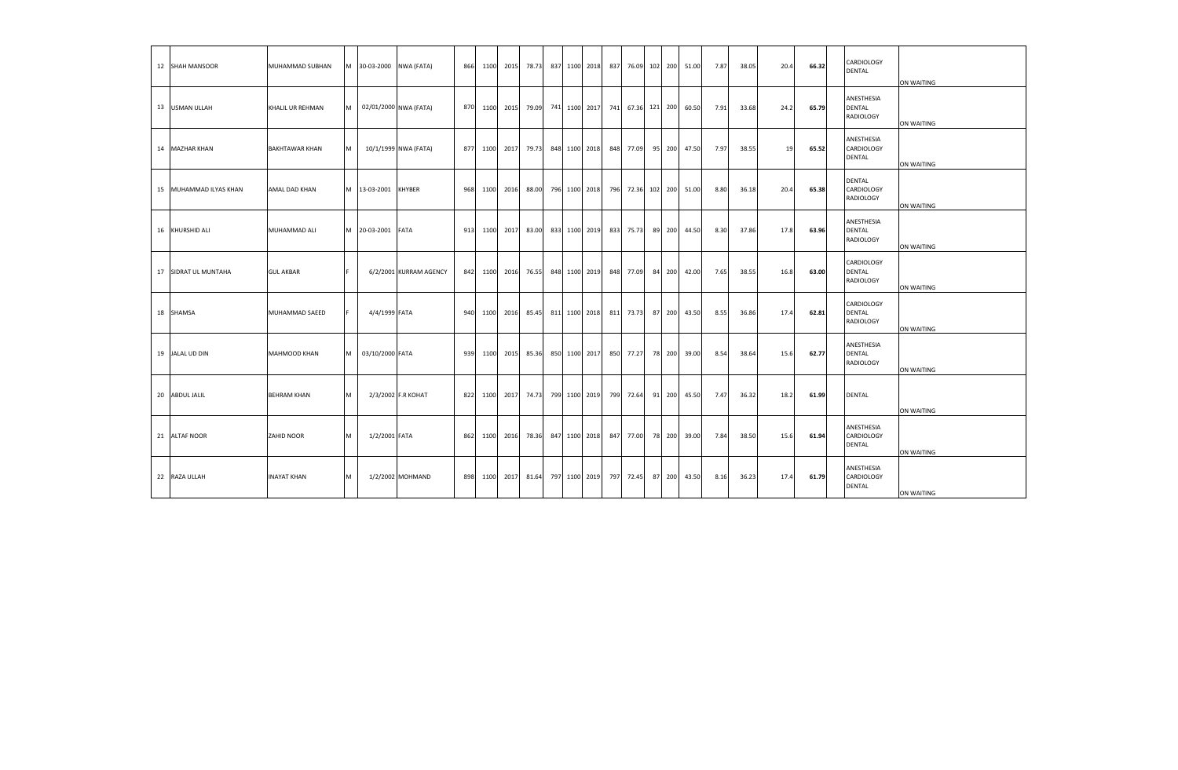| 12 SHAH MANSOOR        | MUHAMMAD SUBHAN         |   | M 30-03-2000 NWA (FATA) |                        | 866 |      | 1100 2015 | 78.73 |               | 837 1100 2018 | 837 | 76.09 102 200 |    |        | 51.00 | 7.87 | 38.05 | 20.4 | 66.32 | CARDIOLOGY<br><b>DENTAL</b>               | ON WAITING |
|------------------------|-------------------------|---|-------------------------|------------------------|-----|------|-----------|-------|---------------|---------------|-----|---------------|----|--------|-------|------|-------|------|-------|-------------------------------------------|------------|
| 13 USMAN ULLAH         | <b>KHALIL UR REHMAN</b> | м |                         | 02/01/2000 NWA (FATA)  | 870 | 1100 | 2015      | 79.09 |               | 741 1100 2017 | 741 | 67.36 121 200 |    |        | 60.50 | 7.91 | 33.68 | 24.2 | 65.79 | ANESTHESIA<br><b>DENTAL</b><br>RADIOLOGY  | ON WAITING |
| 14 MAZHAR KHAN         | <b>BAKHTAWAR KHAN</b>   | м |                         | 10/1/1999 NWA (FATA)   | 877 | 1100 | 2017      | 79.73 | 848 1100 2018 |               | 848 | 77.09         |    | 95 200 | 47.50 | 7.97 | 38.55 | 19   | 65.52 | ANESTHESIA<br>CARDIOLOGY<br><b>DENTAL</b> | ON WAITING |
| 15 MUHAMMAD ILYAS KHAN | AMAL DAD KHAN           |   | M 13-03-2001            | <b>KHYBER</b>          | 968 | 1100 | 2016      | 88.00 | 796 1100 2018 |               | 796 | 72.36 102 200 |    |        | 51.00 | 8.80 | 36.18 | 20.4 | 65.38 | <b>DENTAL</b><br>CARDIOLOGY<br>RADIOLOGY  | ON WAITING |
| 16 KHURSHID ALI        | MUHAMMAD ALI            | M | 20-03-2001              | FATA                   | 913 | 1100 | 2017      | 83.00 | 833 1100 2019 |               | 833 | 75.73         |    | 89 200 | 44.50 | 8.30 | 37.86 | 17.8 | 63.96 | ANESTHESIA<br>DENTAL<br>RADIOLOGY         | ON WAITING |
| 17 SIDRAT UL MUNTAHA   | <b>GUL AKBAR</b>        |   |                         | 6/2/2001 KURRAM AGENCY | 842 |      | 1100 2016 | 76.55 |               | 848 1100 2019 | 848 | 77.09         |    | 84 200 | 42.00 | 7.65 | 38.55 | 16.8 | 63.00 | CARDIOLOGY<br><b>DENTAL</b><br>RADIOLOGY  | ON WAITING |
| 18 SHAMSA              | MUHAMMAD SAEED          |   | 4/4/1999 FATA           |                        | 940 | 1100 | 2016      | 85.45 |               | 811 1100 2018 | 811 | 73.73         |    | 87 200 | 43.50 | 8.55 | 36.86 | 17.4 | 62.81 | CARDIOLOGY<br><b>DENTAL</b><br>RADIOLOGY  | ON WAITING |
| 19 JALAL UD DIN        | MAHMOOD KHAN            | м | 03/10/2000 FATA         |                        | 939 | 1100 | 2015      | 85.36 | 850 1100 2017 |               | 850 | 77.27         |    | 78 200 | 39.00 | 8.54 | 38.64 | 15.6 | 62.77 | ANESTHESIA<br>DENTAL<br>RADIOLOGY         | ON WAITING |
| 20 ABDUL JALIL         | <b>BEHRAM KHAN</b>      | м |                         | 2/3/2002 F.R KOHAT     | 822 | 1100 | 2017      | 74.73 | 799 1100 2019 |               | 799 | 72.64         | 91 | 200    | 45.50 | 7.47 | 36.32 | 18.2 | 61.99 | <b>DENTAL</b>                             | ON WAITING |
| 21 ALTAF NOOR          | ZAHID NOOR              | м | 1/2/2001 FATA           |                        | 862 | 1100 | 2016      | 78.36 |               | 847 1100 2018 | 847 | 77.00         |    | 78 200 | 39.00 | 7.84 | 38.50 | 15.6 | 61.94 | ANESTHESIA<br>CARDIOLOGY<br><b>DENTAL</b> | ON WAITING |
| 22 RAZA ULLAH          | <b>INAYAT KHAN</b>      | м |                         | 1/2/2002 MOHMAND       | 898 | 1100 | 2017      | 81.64 |               | 797 1100 2019 | 797 | 72.45         |    | 87 200 | 43.50 | 8.16 | 36.23 | 17.4 | 61.79 | ANESTHESIA<br>CARDIOLOGY<br><b>DENTAL</b> | ON WAITING |